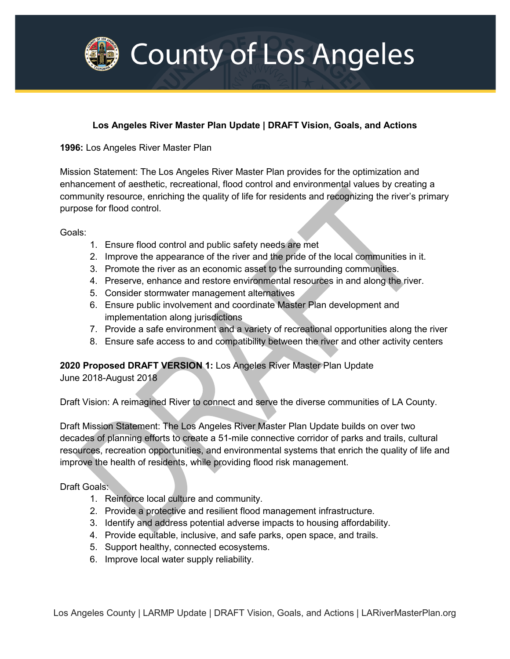

## **Los Angeles River Master Plan Update | DRAFT Vision, Goals, and Actions**

**1996:** Los Angeles River Master Plan

Mission Statement: The Los Angeles River Master Plan provides for the optimization and enhancement of aesthetic, recreational, flood control and environmental values by creating a community resource, enriching the quality of life for residents and recognizing the river's primary purpose for flood control.

Goals:

- 1. Ensure flood control and public safety needs are met
- 2. Improve the appearance of the river and the pride of the local communities in it.
- 3. Promote the river as an economic asset to the surrounding communities.
- 4. Preserve, enhance and restore environmental resources in and along the river.
- 5. Consider stormwater management alternatives
- 6. Ensure public involvement and coordinate Master Plan development and implementation along jurisdictions
- 7. Provide a safe environment and a variety of recreational opportunities along the river
- 8. Ensure safe access to and compatibility between the river and other activity centers

**2020 Proposed DRAFT VERSION 1:** Los Angeles River Master Plan Update

June 2018-August 2018

Draft Vision: A reimagined River to connect and serve the diverse communities of LA County.

Draft Mission Statement: The Los Angeles River Master Plan Update builds on over two decades of planning efforts to create a 51-mile connective corridor of parks and trails, cultural resources, recreation opportunities, and environmental systems that enrich the quality of life and improve the health of residents, while providing flood risk management.

Draft Goals:

- 1. Reinforce local culture and community.
- 2. Provide a protective and resilient flood management infrastructure.
- 3. Identify and address potential adverse impacts to housing affordability.
- 4. Provide equitable, inclusive, and safe parks, open space, and trails.
- 5. Support healthy, connected ecosystems.
- 6. Improve local water supply reliability.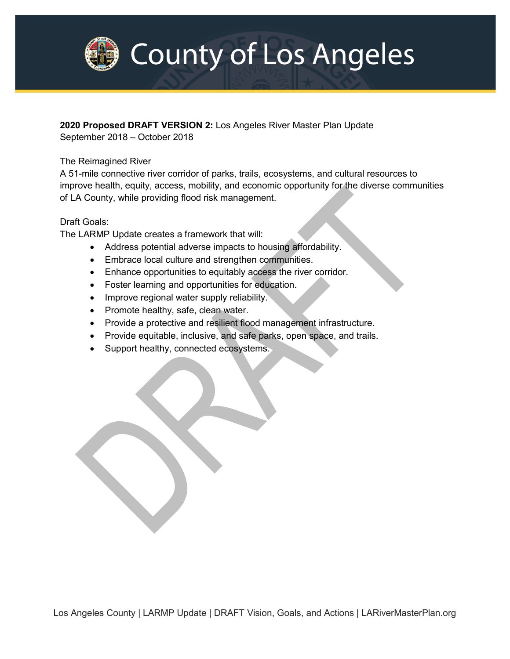

**2020 Proposed DRAFT VERSION 2:** Los Angeles River Master Plan Update

September 2018 – October 2018

## The Reimagined River

A 51-mile connective river corridor of parks, trails, ecosystems, and cultural resources to improve health, equity, access, mobility, and economic opportunity for the diverse communities of LA County, while providing flood risk management.

## Draft Goals:

The LARMP Update creates a framework that will:

- Address potential adverse impacts to housing affordability.
- Embrace local culture and strengthen communities.
- Enhance opportunities to equitably access the river corridor.
- Foster learning and opportunities for education.
- Improve regional water supply reliability.
- Promote healthy, safe, clean water.
- Provide a protective and resilient flood management infrastructure.
- Provide equitable, inclusive, and safe parks, open space, and trails.
- Support healthy, connected ecosystems.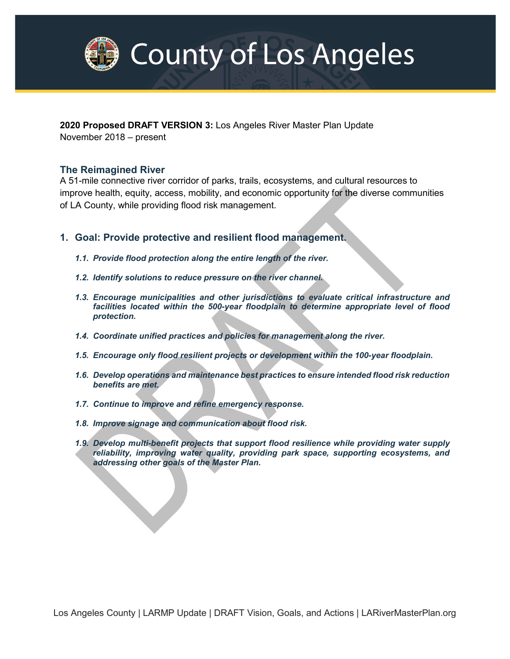

**2020 Proposed DRAFT VERSION 3:** Los Angeles River Master Plan Update November 2018 – present

### **The Reimagined River**

A 51-mile connective river corridor of parks, trails, ecosystems, and cultural resources to improve health, equity, access, mobility, and economic opportunity for the diverse communities of LA County, while providing flood risk management.

- **1. Goal: Provide protective and resilient flood management.**
	- *1.1. Provide flood protection along the entire length of the river.*
	- *1.2. Identify solutions to reduce pressure on the river channel.*
	- *1.3. Encourage municipalities and other jurisdictions to evaluate critical infrastructure and facilities located within the 500-year floodplain to determine appropriate level of flood protection.*
	- *1.4. Coordinate unified practices and policies for management along the river.*
	- *1.5. Encourage only flood resilient projects or development within the 100-year floodplain.*
	- *1.6. Develop operations and maintenance best practices to ensure intended flood risk reduction benefits are met.*
	- *1.7. Continue to improve and refine emergency response.*
	- *1.8. Improve signage and communication about flood risk.*
	- *1.9. Develop multi-benefit projects that support flood resilience while providing water supply reliability, improving water quality, providing park space, supporting ecosystems, and addressing other goals of the Master Plan.*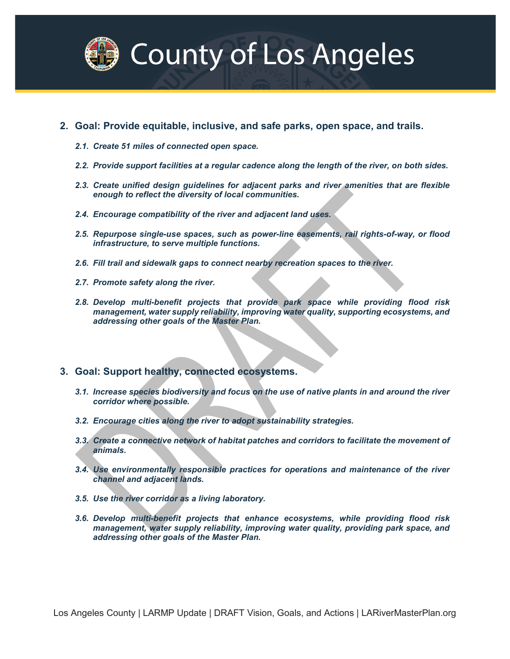

- **2. Goal: Provide equitable, inclusive, and safe parks, open space, and trails.**
	- *2.1. Create 51 miles of connected open space.*
	- *2.2. Provide support facilities at a regular cadence along the length of the river, on both sides.*
	- *2.3. Create unified design guidelines for adjacent parks and river amenities that are flexible enough to reflect the diversity of local communities.*
	- *2.4. Encourage compatibility of the river and adjacent land uses.*
	- *2.5. Repurpose single-use spaces, such as power-line easements, rail rights-of-way, or flood infrastructure, to serve multiple functions.*
	- *2.6. Fill trail and sidewalk gaps to connect nearby recreation spaces to the river.*
	- *2.7. Promote safety along the river.*
	- *2.8. Develop multi-benefit projects that provide park space while providing flood risk management, water supply reliability, improving water quality, supporting ecosystems, and addressing other goals of the Master Plan.*
- **3. Goal: Support healthy, connected ecosystems.**
	- *3.1. Increase species biodiversity and focus on the use of native plants in and around the river corridor where possible.*
	- *3.2. Encourage cities along the river to adopt sustainability strategies.*
	- *3.3. Create a connective network of habitat patches and corridors to facilitate the movement of animals.*
	- *3.4. Use environmentally responsible practices for operations and maintenance of the river channel and adjacent lands.*
	- *3.5. Use the river corridor as a living laboratory.*
	- *3.6. Develop multi-benefit projects that enhance ecosystems, while providing flood risk management, water supply reliability, improving water quality, providing park space, and addressing other goals of the Master Plan.*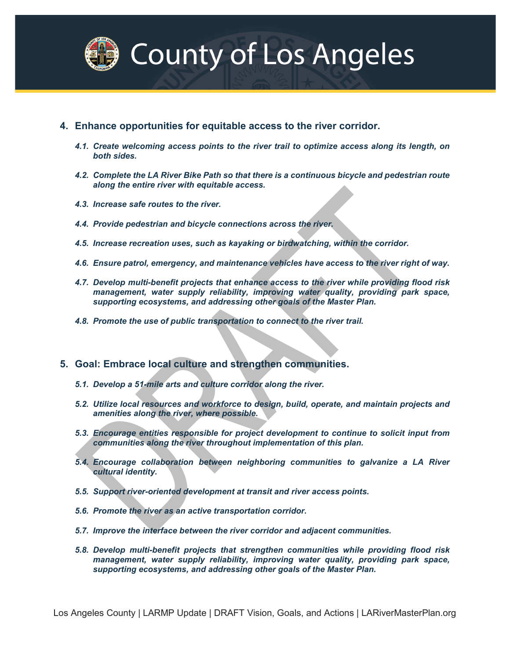

- **4. Enhance opportunities for equitable access to the river corridor.**
	- *4.1. Create welcoming access points to the river trail to optimize access along its length, on both sides.*
	- *4.2. Complete the LA River Bike Path so that there is a continuous bicycle and pedestrian route along the entire river with equitable access.*
	- *4.3. Increase safe routes to the river.*
	- *4.4. Provide pedestrian and bicycle connections across the river.*
	- *4.5. Increase recreation uses, such as kayaking or birdwatching, within the corridor.*
	- *4.6. Ensure patrol, emergency, and maintenance vehicles have access to the river right of way.*
	- *4.7. Develop multi-benefit projects that enhance access to the river while providing flood risk management, water supply reliability, improving water quality, providing park space, supporting ecosystems, and addressing other goals of the Master Plan.*
	- *4.8. Promote the use of public transportation to connect to the river trail.*
- **5. Goal: Embrace local culture and strengthen communities.**
	- *5.1. Develop a 51-mile arts and culture corridor along the river.*
	- *5.2. Utilize local resources and workforce to design, build, operate, and maintain projects and amenities along the river, where possible.*
	- *5.3. Encourage entities responsible for project development to continue to solicit input from communities along the river throughout implementation of this plan.*
	- *5.4. Encourage collaboration between neighboring communities to galvanize a LA River cultural identity.*
	- *5.5. Support river-oriented development at transit and river access points.*
	- *5.6. Promote the river as an active transportation corridor.*
	- *5.7. Improve the interface between the river corridor and adjacent communities.*
	- *5.8. Develop multi-benefit projects that strengthen communities while providing flood risk management, water supply reliability, improving water quality, providing park space, supporting ecosystems, and addressing other goals of the Master Plan.*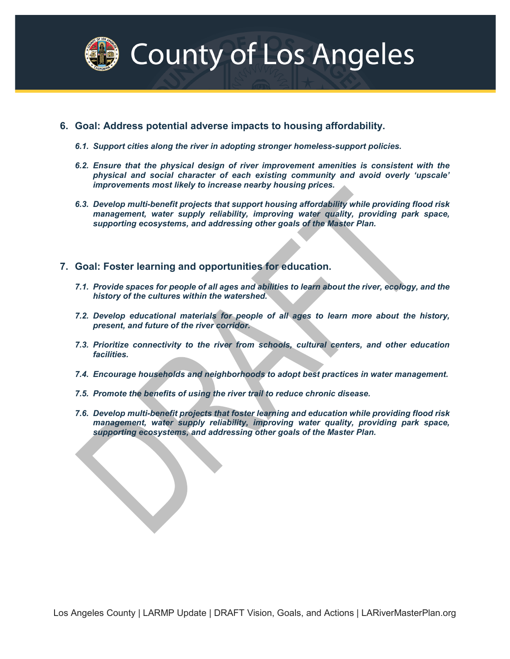

### **6. Goal: Address potential adverse impacts to housing affordability.**

- *6.1. Support cities along the river in adopting stronger homeless-support policies.*
- *6.2. Ensure that the physical design of river improvement amenities is consistent with the physical and social character of each existing community and avoid overly 'upscale' improvements most likely to increase nearby housing prices.*
- *6.3. Develop multi-benefit projects that support housing affordability while providing flood risk*  management, water supply reliability, improving water quality, providing park space, *supporting ecosystems, and addressing other goals of the Master Plan.*
- **7. Goal: Foster learning and opportunities for education.**
	- *7.1. Provide spaces for people of all ages and abilities to learn about the river, ecology, and the history of the cultures within the watershed.*
	- *7.2. Develop educational materials for people of all ages to learn more about the history, present, and future of the river corridor.*
	- *7.3. Prioritize connectivity to the river from schools, cultural centers, and other education facilities.*
	- *7.4. Encourage households and neighborhoods to adopt best practices in water management.*
	- *7.5. Promote the benefits of using the river trail to reduce chronic disease.*
	- *7.6. Develop multi-benefit projects that foster learning and education while providing flood risk management, water supply reliability, improving water quality, providing park space, supporting ecosystems, and addressing other goals of the Master Plan.*